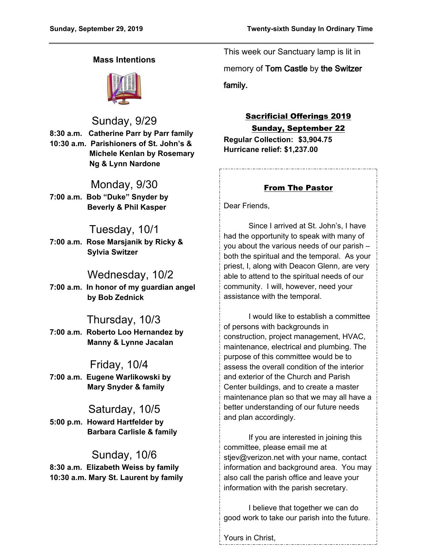## **Mass Intentions**



Sunday, 9/29

**8:30 a.m. Catherine Parr by Parr family 10:30 a.m. Parishioners of St. John's & Michele Kenlan by Rosemary Ng & Lynn Nardone**

## Monday, 9/30

**7:00 a.m. Bob "Duke" Snyder by Beverly & Phil Kasper**

# Tuesday, 10/1

**7:00 a.m. Rose Marsjanik by Ricky & Sylvia Switzer**

# Wednesday, 10/2

**7:00 a.m. In honor of my guardian angel by Bob Zednick**

# Thursday, 10/3

**7:00 a.m. Roberto Loo Hernandez by Manny & Lynne Jacalan**

## Friday, 10/4

**7:00 a.m. Eugene Warlikowski by Mary Snyder & family**

# Saturday, 10/5

**5:00 p.m. Howard Hartfelder by Barbara Carlisle & family**

# Sunday, 10/6

**8:30 a.m. Elizabeth Weiss by family 10:30 a.m. Mary St. Laurent by family** This week our Sanctuary lamp is lit in

memory of **Tom Castle** by **the Switzer** 

**family.**

# Sacrificial Offerings 2019

Sunday, September 22

**Regular Collection: \$3,904.75 Hurricane relief: \$1,237.00**

## From The Pastor

Dear Friends,

Since I arrived at St. John's, I have had the opportunity to speak with many of you about the various needs of our parish – both the spiritual and the temporal. As your priest, I, along with Deacon Glenn, are very able to attend to the spiritual needs of our community. I will, however, need your assistance with the temporal.

I would like to establish a committee of persons with backgrounds in construction, project management, HVAC, maintenance, electrical and plumbing. The purpose of this committee would be to assess the overall condition of the interior and exterior of the Church and Parish Center buildings, and to create a master maintenance plan so that we may all have a better understanding of our future needs and plan accordingly.

If you are interested in joining this committee, please email me at stjev@verizon.net with your name, contact information and background area. You may also call the parish office and leave your information with the parish secretary.

I believe that together we can do good work to take our parish into the future.

Yours in Christ,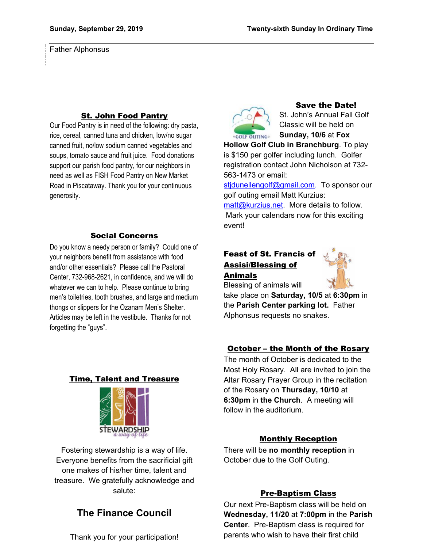Father Alphonsus

## St. John Food Pantry

Our Food Pantry is in need of the following: dry pasta, rice, cereal, canned tuna and chicken, low/no sugar canned fruit, no/low sodium canned vegetables and soups, tomato sauce and fruit juice. Food donations support our parish food pantry, for our neighbors in need as well as FISH Food Pantry on New Market Road in Piscataway. Thank you for your continuous generosity.

### Social Concerns

Do you know a needy person or family? Could one of your neighbors benefit from assistance with food and/or other essentials? Please call the Pastoral Center, 732-968-2621, in confidence, and we will do whatever we can to help. Please continue to bring men's toiletries, tooth brushes, and large and medium thongs or slippers for the Ozanam Men's Shelter. Articles may be left in the vestibule. Thanks for not forgetting the "guys".

### Time, Talent and Treasure



Fostering stewardship is a way of life. Everyone benefits from the sacrificial gift one makes of his/her time, talent and treasure. We gratefully acknowledge and salute:

# **The Finance Council**

Thank you for your participation!



#### Save the Date!

St. John's Annual Fall Golf Classic will be held on **Sunday, 10/6** at **Fox** 

**Hollow Golf Club in Branchburg**. To play is \$150 per golfer including lunch. Golfer registration contact John Nicholson at 732- 563-1473 or email:

stidunellengolf@gmail.com. To sponsor our golf outing email Matt Kurzius:

[matt@kurzius.net.](mailto:matt@kurzius.net) More details to follow. Mark your calendars now for this exciting event!

## Feast of St. Francis of Assisi/Blessing of Animals



Blessing of animals will

take place on **Saturday, 10/5** at **6:30pm** in the **Parish Center parking lot.** Father Alphonsus requests no snakes.

#### October – the Month of the Rosary

The month of October is dedicated to the Most Holy Rosary. All are invited to join the Altar Rosary Prayer Group in the recitation of the Rosary on **Thursday, 10/10** at **6:30pm** in **the Church**. A meeting will follow in the auditorium.

#### Monthly Reception

There will be **no monthly reception** in October due to the Golf Outing.

#### Pre-Baptism Class

Our next Pre-Baptism class will be held on **Wednesday, 11/20** at **7:00pm** in the **Parish Center**. Pre-Baptism class is required for parents who wish to have their first child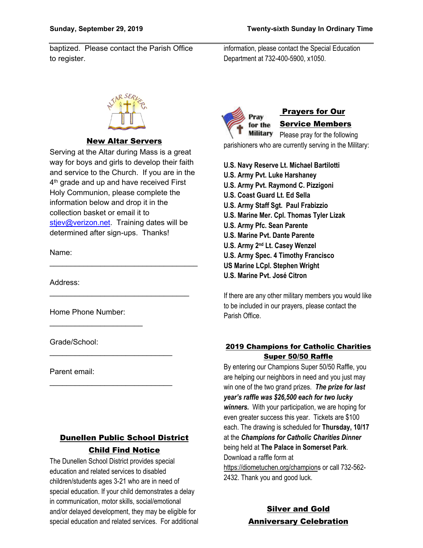baptized. Please contact the Parish Office to register.

information, please contact the Special Education Department at 732-400-5900, x1050.



## New Altar Servers

Serving at the Altar during Mass is a great way for boys and girls to develop their faith and service to the Church. If you are in the 4 th grade and up and have received First Holy Communion, please complete the information below and drop it in the collection basket or email it to [stjev@verizon.net.](mailto:stjev@verizon.net) Training dates will be determined after sign-ups. Thanks!

\_\_\_\_\_\_\_\_\_\_\_\_\_\_\_\_\_\_\_\_\_\_\_\_\_\_\_\_\_\_\_\_\_\_\_

\_\_\_\_\_\_\_\_\_\_\_\_\_\_\_\_\_\_\_\_\_\_\_\_\_\_\_\_\_\_\_\_\_

\_\_\_\_\_\_\_\_\_\_\_\_\_\_\_\_\_\_\_\_\_\_\_\_\_\_\_\_\_

\_\_\_\_\_\_\_\_\_\_\_\_\_\_\_\_\_\_\_\_\_\_\_\_\_\_\_\_\_

Name:

Address:

Home Phone Number:

 $\mathcal{L}_\text{max}$  , which is a set of the set of the set of the set of the set of the set of the set of the set of the set of the set of the set of the set of the set of the set of the set of the set of the set of the set of

Grade/School:

Parent email:

# Dunellen Public School District Child Find Notice

The Dunellen School District provides special education and related services to disabled children/students ages 3-21 who are in need of special education. If your child demonstrates a delay in communication, motor skills, social/emotional and/or delayed development, they may be eligible for special education and related services. For additional



# Prayers for Our

# Service Members

Military Please pray for the following parishioners who are currently serving in the Military:

**U.S. Navy Reserve Lt. Michael Bartilotti U.S. Army Pvt. Luke Harshaney U.S. Army Pvt. Raymond C. Pizzigoni U.S. Coast Guard Lt. Ed Sella U.S. Army Staff Sgt. Paul Frabizzio U.S. Marine Mer. Cpl. Thomas Tyler Lizak U.S. Army Pfc. Sean Parente U.S. Marine Pvt. Dante Parente U.S. Army 2nd Lt. Casey Wenzel U.S. Army Spec. 4 Timothy Francisco US Marine LCpl. Stephen Wright**

**U.S. Marine Pvt. José Citron**

If there are any other military members you would like to be included in our prayers, please contact the Parish Office.

#### 2019 Champions for Catholic Charities Super 50/50 Raffle

By entering our Champions Super 50/50 Raffle, you are helping our neighbors in need and you just may win one of the two grand prizes. *The prize for last year's raffle was \$26,500 each for two lucky winners.* With your participation, we are hoping for even greater success this year. Tickets are \$100 each. The drawing is scheduled for **Thursday, 10/17** at the *Champions for Catholic Charities Dinner* being held at **The Palace in Somerset Park**. Download a raffle form at https://diometuchen.org/champions or call 732-562-

2432. Thank you and good luck.

Silver and Gold Anniversary Celebration